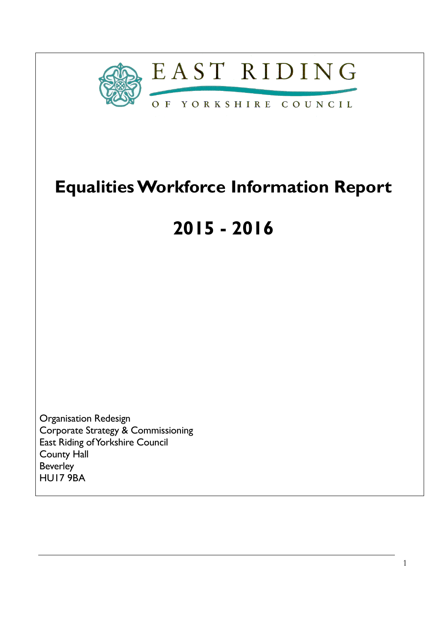

# Equalities Workforce Information Report

# 2015 - 2016

Organisation Redesign Corporate Strategy & Commissioning East Riding of Yorkshire Council County Hall Beverley HU17 9BA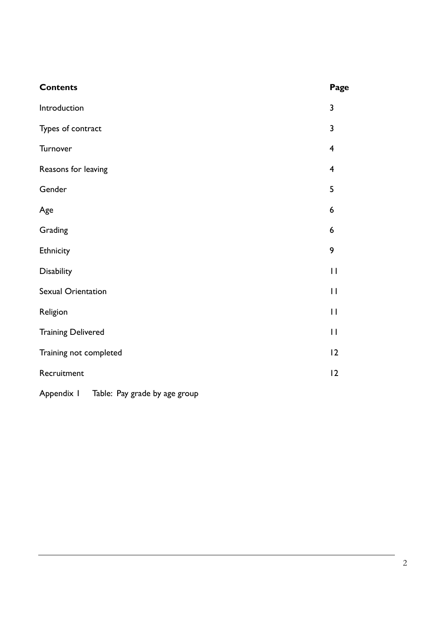| <b>Contents</b>           | Page                    |
|---------------------------|-------------------------|
| Introduction              | $\overline{\mathbf{3}}$ |
| Types of contract         | 3                       |
| Turnover                  | $\overline{\mathbf{4}}$ |
| Reasons for leaving       | $\overline{4}$          |
| Gender                    | 5                       |
| Age                       | 6                       |
| Grading                   | 6                       |
| Ethnicity                 | 9                       |
| Disability                | $\mathbf{I}$            |
| <b>Sexual Orientation</b> | $\mathbf{I}$            |
| Religion                  | $\mathbf{I}$            |
| <b>Training Delivered</b> | $\mathbf{H}$            |
| Training not completed    | 12                      |
| Recruitment               | 12                      |
|                           |                         |

Appendix I Table: Pay grade by age group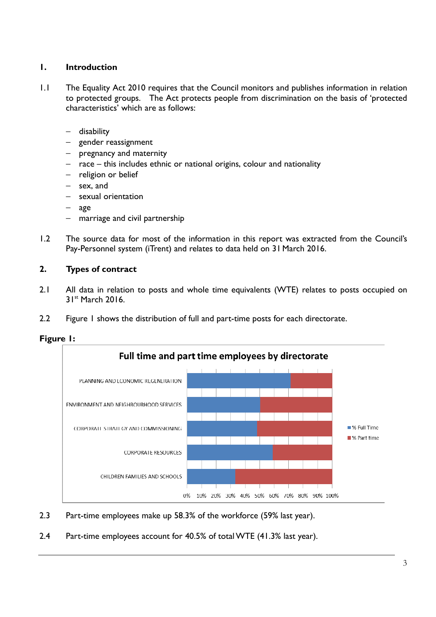# 1. Introduction

- 1.1 The Equality Act 2010 requires that the Council monitors and publishes information in relation to protected groups. The Act protects people from discrimination on the basis of 'protected characteristics' which are as follows:
	- − disability
	- − gender reassignment
	- − pregnancy and maternity
	- − race this includes ethnic or national origins, colour and nationality
	- − religion or belief
	- − sex, and
	- − sexual orientation
	- − age
	- marriage and civil partnership
- 1.2 The source data for most of the information in this report was extracted from the Council's Pay-Personnel system (iTrent) and relates to data held on 31 March 2016.

# 2. Types of contract

- 2.1 All data in relation to posts and whole time equivalents (WTE) relates to posts occupied on 31st March 2016.
- 2.2 Figure 1 shows the distribution of full and part-time posts for each directorate.





- 2.3 Part-time employees make up 58.3% of the workforce (59% last year).
- 2.4 Part-time employees account for 40.5% of total WTE (41.3% last year).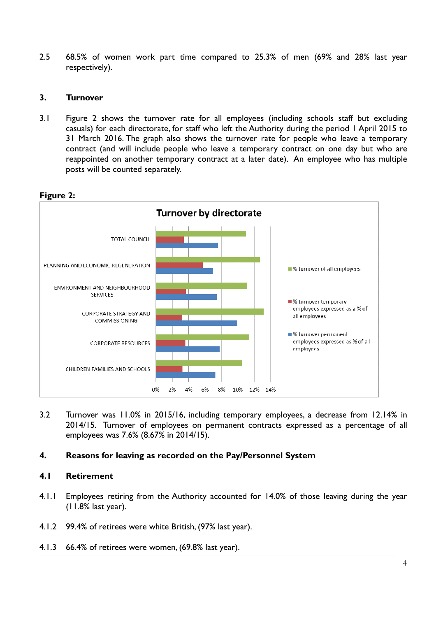2.5 68.5% of women work part time compared to 25.3% of men (69% and 28% last year respectively).

# 3. Turnover

3.1 Figure 2 shows the turnover rate for all employees (including schools staff but excluding casuals) for each directorate, for staff who left the Authority during the period 1 April 2015 to 31 March 2016. The graph also shows the turnover rate for people who leave a temporary contract (and will include people who leave a temporary contract on one day but who are reappointed on another temporary contract at a later date). An employee who has multiple posts will be counted separately.



## Figure 2:

3.2 Turnover was 11.0% in 2015/16, including temporary employees, a decrease from 12.14% in 2014/15. Turnover of employees on permanent contracts expressed as a percentage of all employees was 7.6% (8.67% in 2014/15).

# 4. Reasons for leaving as recorded on the Pay/Personnel System

#### 4.1 Retirement

- 4.1.1 Employees retiring from the Authority accounted for 14.0% of those leaving during the year (11.8% last year).
- 4.1.2 99.4% of retirees were white British, (97% last year).
- 4.1.3 66.4% of retirees were women, (69.8% last year).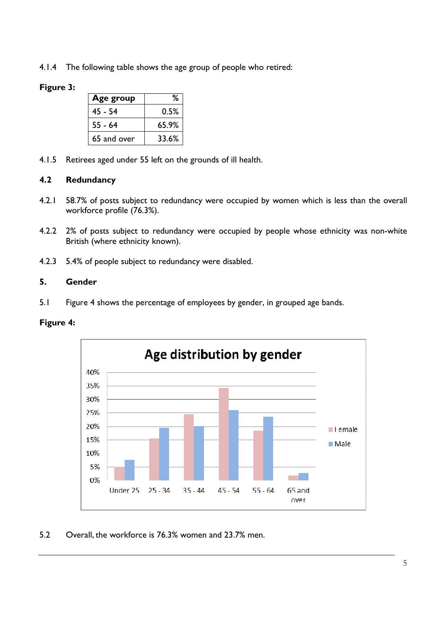4.1.4 The following table shows the age group of people who retired:

# Figure 3:

| Age group   | ℅     |
|-------------|-------|
| 45 - 54     | 0.5%  |
| $55 - 64$   | 65.9% |
| 65 and over | 33.6% |

4.1.5 Retirees aged under 55 left on the grounds of ill health.

# 4.2 Redundancy

- 4.2.1 58.7% of posts subject to redundancy were occupied by women which is less than the overall workforce profile (76.3%).
- 4.2.2 2% of posts subject to redundancy were occupied by people whose ethnicity was non-white British (where ethnicity known).
- 4.2.3 5.4% of people subject to redundancy were disabled.

#### 5. Gender

5.1 Figure 4 shows the percentage of employees by gender, in grouped age bands.

#### Figure 4:



# 5.2 Overall, the workforce is 76.3% women and 23.7% men.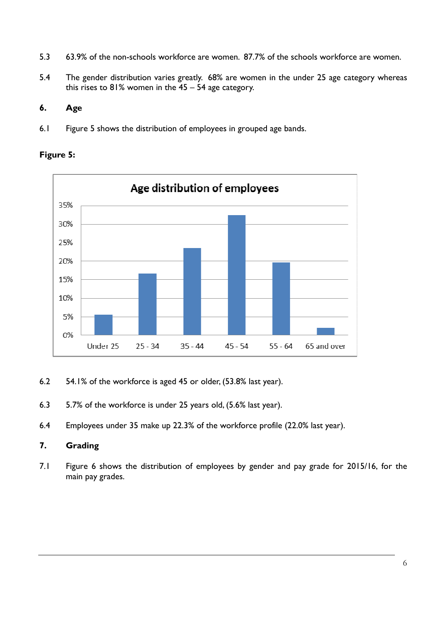- 5.3 63.9% of the non-schools workforce are women. 87.7% of the schools workforce are women.
- 5.4 The gender distribution varies greatly. 68% are women in the under 25 age category whereas this rises to 81% women in the 45 – 54 age category.

# 6. Age

6.1 Figure 5 shows the distribution of employees in grouped age bands.



# Figure 5:

- 6.2 54.1% of the workforce is aged 45 or older, (53.8% last year).
- 6.3 5.7% of the workforce is under 25 years old, (5.6% last year).
- 6.4 Employees under 35 make up 22.3% of the workforce profile (22.0% last year).

# 7. Grading

7.1 Figure 6 shows the distribution of employees by gender and pay grade for 2015/16, for the main pay grades.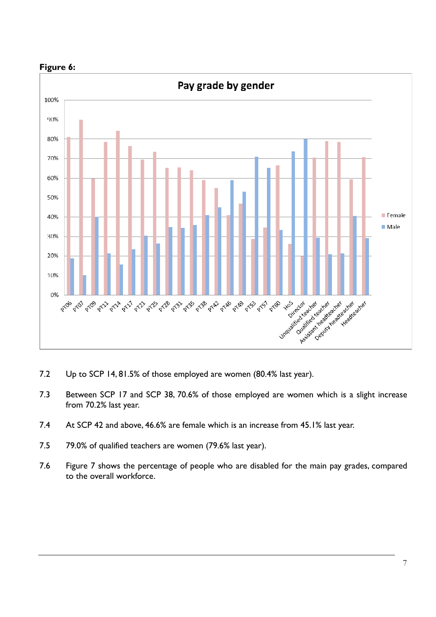

Figure 6:

- 7.2 Up to SCP 14, 81.5% of those employed are women (80.4% last year).
- 7.3 Between SCP 17 and SCP 38, 70.6% of those employed are women which is a slight increase from 70.2% last year.
- 7.4 At SCP 42 and above, 46.6% are female which is an increase from 45.1% last year.
- 7.5 79.0% of qualified teachers are women (79.6% last year).
- 7.6 Figure 7 shows the percentage of people who are disabled for the main pay grades, compared to the overall workforce.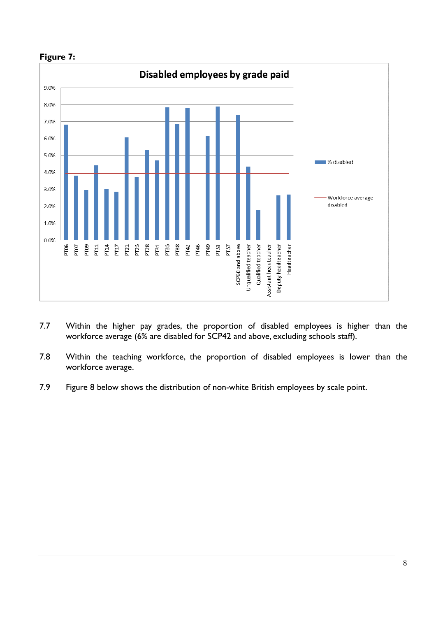

# Figure 7:

- 7.7 Within the higher pay grades, the proportion of disabled employees is higher than the workforce average (6% are disabled for SCP42 and above, excluding schools staff).
- 7.8 Within the teaching workforce, the proportion of disabled employees is lower than the workforce average.
- 7.9 Figure 8 below shows the distribution of non-white British employees by scale point.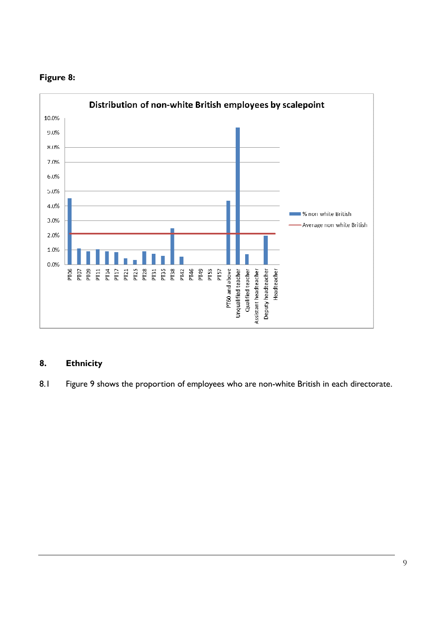

# Figure 8:

# 8. Ethnicity

8.1 Figure 9 shows the proportion of employees who are non-white British in each directorate.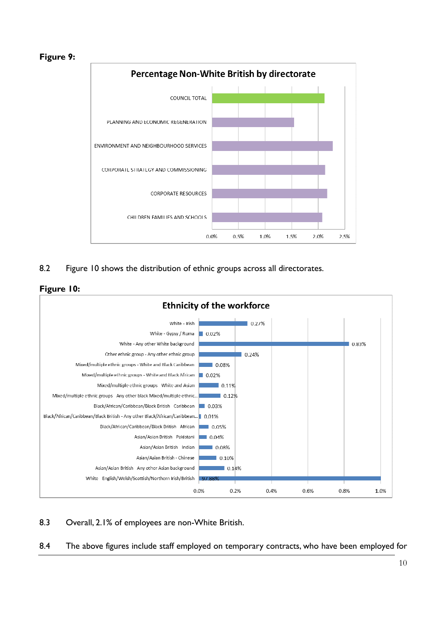



8.2 Figure 10 shows the distribution of ethnic groups across all directorates.





8.3 Overall, 2.1% of employees are non-White British.

8.4 The above figures include staff employed on temporary contracts, who have been employed for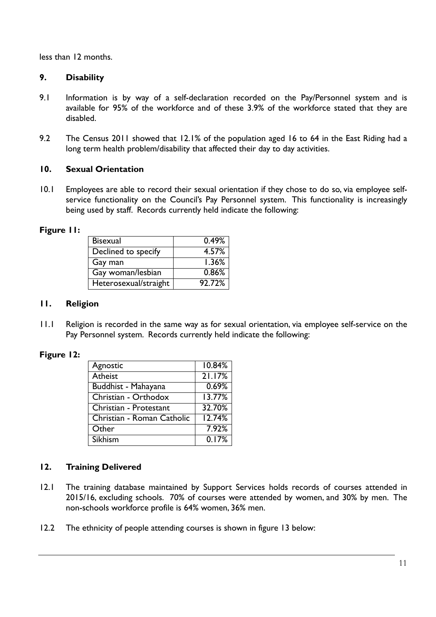less than 12 months.

# 9. Disability

- 9.1 Information is by way of a self-declaration recorded on the Pay/Personnel system and is available for 95% of the workforce and of these 3.9% of the workforce stated that they are disabled.
- 9.2 The Census 2011 showed that 12.1% of the population aged 16 to 64 in the East Riding had a long term health problem/disability that affected their day to day activities.

# 10. Sexual Orientation

10.1 Employees are able to record their sexual orientation if they chose to do so, via employee selfservice functionality on the Council's Pay Personnel system. This functionality is increasingly being used by staff. Records currently held indicate the following:

#### Figure 11:

| <b>Bisexual</b>       | 0.49%  |
|-----------------------|--------|
| Declined to specify   | 4.57%  |
| Gay man               | 1.36%  |
| Gay woman/lesbian     | 0.86%  |
| Heterosexual/straight | 92.72% |

#### 11. Religion

11.1 Religion is recorded in the same way as for sexual orientation, via employee self-service on the Pay Personnel system. Records currently held indicate the following:

#### Figure 12:

| Agnostic                   | 10.84% |
|----------------------------|--------|
| <b>Atheist</b>             | 21.17% |
| Buddhist - Mahayana        | 0.69%  |
| Christian - Orthodox       | 13.77% |
| Christian - Protestant     | 32.70% |
| Christian - Roman Catholic | 12.74% |
| Other                      | 7.92%  |
| Sikhism                    | 0.17%  |

# 12. Training Delivered

- 12.1 The training database maintained by Support Services holds records of courses attended in 2015/16, excluding schools. 70% of courses were attended by women, and 30% by men. The non-schools workforce profile is 64% women, 36% men.
- 12.2 The ethnicity of people attending courses is shown in figure 13 below: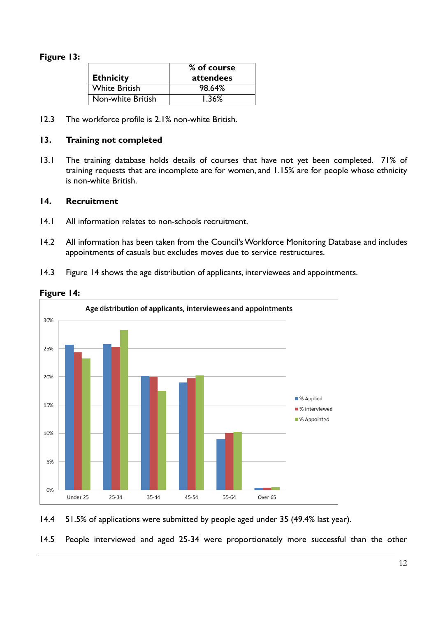# Figure 13:

|                   | % of course |  |  |
|-------------------|-------------|--|--|
| Ethnicity         | attendees   |  |  |
| White British     | 98.64%      |  |  |
| Non-white British | 1.36%       |  |  |

12.3 The workforce profile is 2.1% non-white British.

## 13. Training not completed

13.1 The training database holds details of courses that have not yet been completed. 71% of training requests that are incomplete are for women, and 1.15% are for people whose ethnicity is non-white British.

## 14. Recruitment

- 14.1 All information relates to non-schools recruitment.
- 14.2 All information has been taken from the Council's Workforce Monitoring Database and includes appointments of casuals but excludes moves due to service restructures.
- 14.3 Figure 14 shows the age distribution of applicants, interviewees and appointments.





14.4 51.5% of applications were submitted by people aged under 35 (49.4% last year).

14.5 People interviewed and aged 25-34 were proportionately more successful than the other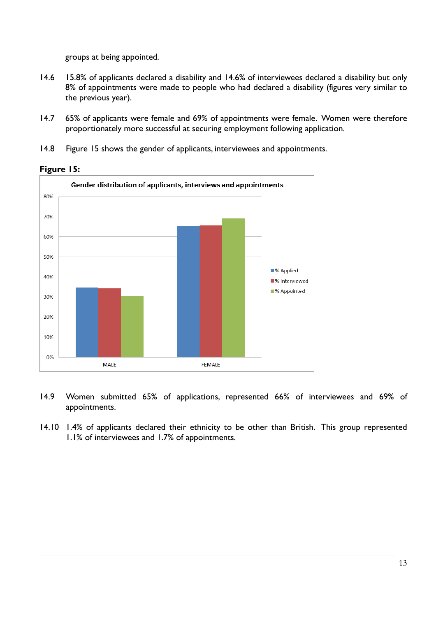groups at being appointed.

- 14.6 15.8% of applicants declared a disability and 14.6% of interviewees declared a disability but only 8% of appointments were made to people who had declared a disability (figures very similar to the previous year).
- 14.7 65% of applicants were female and 69% of appointments were female. Women were therefore proportionately more successful at securing employment following application.
- 14.8 Figure 15 shows the gender of applicants, interviewees and appointments.



Figure 15:

- 14.9 Women submitted 65% of applications, represented 66% of interviewees and 69% of appointments.
- 14.10 1.4% of applicants declared their ethnicity to be other than British. This group represented 1.1% of interviewees and 1.7% of appointments.